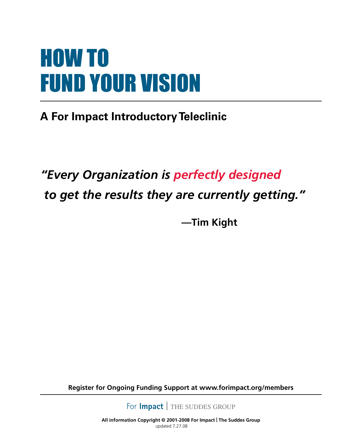# HOW TO FUND YOUR VISION

### **A For Impact Introductory Teleclinic**

### *"Every Organization is perfectly designed to get the results they are currently getting."*

 **—Tim Kight**

**Register for Ongoing Funding Support at www.forimpact.org/members**

For **Impact** THE SUDDES GROUP

**All information Copyright © 2001-2008 For Impact | The Suddes Group**  updated 7.27.08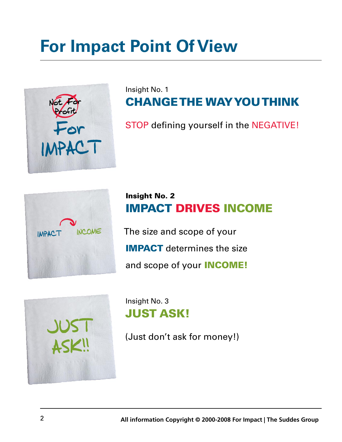## **For Impact Point Of View**



### Insight No. 1 Change the way you Think

STOP defining yourself in the NEGATIVE!



#### Insight No. 2 IMPACT DRIVES INCOME

The size and scope of your IMPACT determines the size and scope of your **INCOME!** 



Insight No. 3 **JUST ASK!** 

(Just don't ask for money!)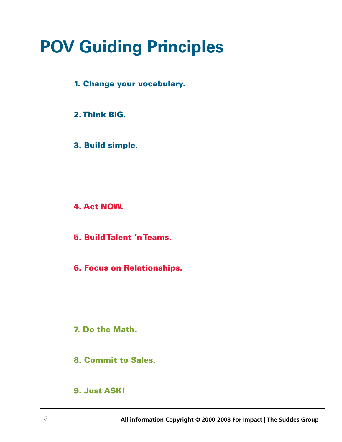## **POV Guiding Principles**

1. Change your vocabulary.

#### 2. Think BIG.

3. Build simple.

4. Act NOW.

5. Build Talent 'n Teams.

6. Focus on Relationships.

#### 7. Do the Math.

- 8. Commit to Sales.
- 9. Just ASK!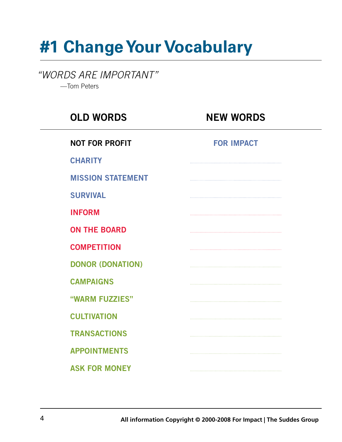### **#1 Change Your Vocabulary**

*"WORDS ARE IMPORTANT"*

—Tom Peters

| <b>OLD WORDS</b>         | <b>NEW WORDS</b>  |
|--------------------------|-------------------|
| <b>NOT FOR PROFIT</b>    | <b>FOR IMPACT</b> |
| <b>CHARITY</b>           |                   |
| <b>MISSION STATEMENT</b> |                   |
| <b>SURVIVAL</b>          |                   |
| <b>INFORM</b>            |                   |
| <b>ON THE BOARD</b>      |                   |
| <b>COMPETITION</b>       |                   |
| <b>DONOR (DONATION)</b>  |                   |
| <b>CAMPAIGNS</b>         |                   |
| "WARM FUZZIES"           |                   |
| <b>CULTIVATION</b>       |                   |
| <b>TRANSACTIONS</b>      |                   |
| <b>APPOINTMENTS</b>      |                   |
| <b>ASK FOR MONEY</b>     |                   |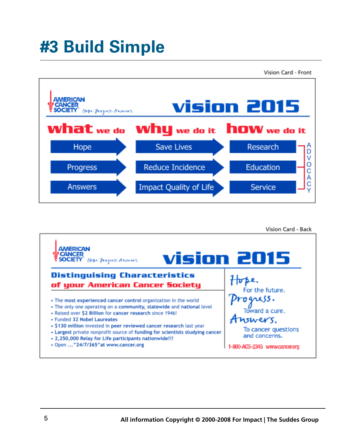### **#3 Build Simple**

Vision Card - Front



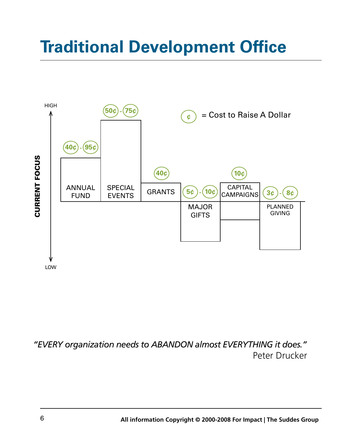## **Traditional Development Office**



*"EVERY organization needs to ABANDON almost EVERYTHING it does."* Peter Drucker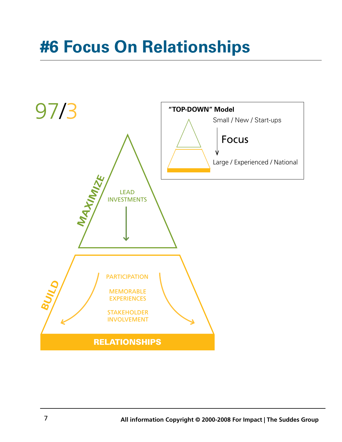## **#6 Focus On Relationships**

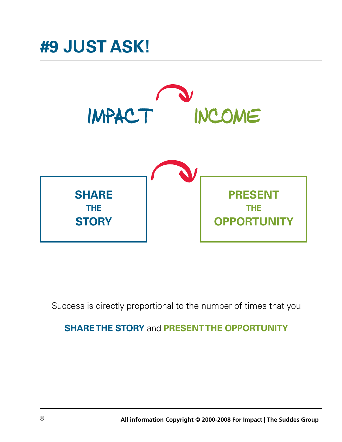

Success is directly proportional to the number of times that you

#### **SHARE THE STORY and PRESENT THE OPPORTUNITY**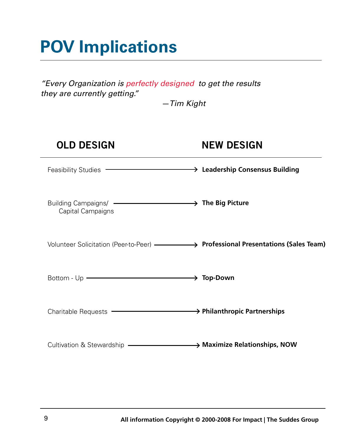## **POV Implications**

*"Every Organization is perfectly designed to get the results they are currently getting."*

 *—Tim Kight*

| <b>OLD DESIGN</b>                                                 | <b>NEW DESIGN</b>                                                                    |
|-------------------------------------------------------------------|--------------------------------------------------------------------------------------|
| Feasibility Studies – The Consensus Building                      |                                                                                      |
| Building Campaigns/ – The Big Picture<br>Capital Campaigns        |                                                                                      |
|                                                                   | Volunteer Solicitation (Peer-to-Peer) —————> Professional Presentations (Sales Team) |
| Bottom - Up ————————————————> Top-Down                            |                                                                                      |
| Charitable Requests – <b>Example 2 Philanthropic Partnerships</b> |                                                                                      |
| Cultivation & Stewardship - Maximize Relationships, NOW           |                                                                                      |